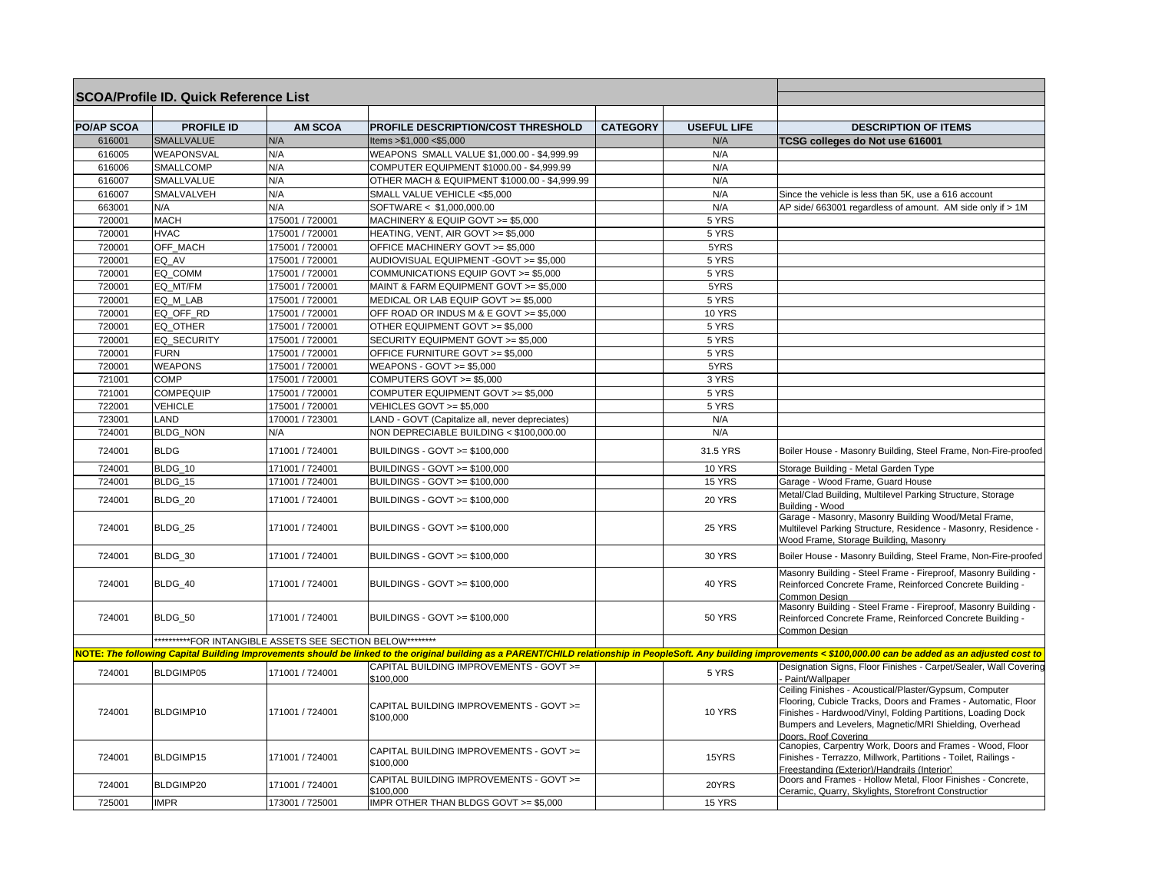| <b>SCOA/Profile ID. Quick Reference List</b> |                    |                                                            |                                                      |                 |                    |                                                                                                                                                                                                                                                                          |
|----------------------------------------------|--------------------|------------------------------------------------------------|------------------------------------------------------|-----------------|--------------------|--------------------------------------------------------------------------------------------------------------------------------------------------------------------------------------------------------------------------------------------------------------------------|
|                                              |                    |                                                            |                                                      |                 |                    |                                                                                                                                                                                                                                                                          |
| <b>PO/AP SCOA</b>                            | <b>PROFILE ID</b>  | <b>AM SCOA</b>                                             | PROFILE DESCRIPTION/COST THRESHOLD                   | <b>CATEGORY</b> | <b>USEFUL LIFE</b> | <b>DESCRIPTION OF ITEMS</b>                                                                                                                                                                                                                                              |
| 616001                                       | <b>SMALLVALUE</b>  | N/A                                                        | ltems > \$1,000 < \$5,000                            |                 | N/A                | TCSG colleges do Not use 616001                                                                                                                                                                                                                                          |
| 616005                                       | WEAPONSVAL         | N/A                                                        | WEAPONS SMALL VALUE \$1,000.00 - \$4,999.99          |                 | N/A                |                                                                                                                                                                                                                                                                          |
| 616006                                       | SMALLCOMP          | N/A                                                        | COMPUTER EQUIPMENT \$1000.00 - \$4,999.99            |                 | N/A                |                                                                                                                                                                                                                                                                          |
| 616007                                       | SMALLVALUE         | N/A                                                        | OTHER MACH & EQUIPMENT \$1000.00 - \$4,999.99        |                 | N/A                |                                                                                                                                                                                                                                                                          |
| 616007                                       | SMALVALVEH         | N/A                                                        | SMALL VALUE VEHICLE <\$5,000                         |                 | N/A                | Since the vehicle is less than 5K, use a 616 account                                                                                                                                                                                                                     |
| 663001                                       | N/A                | N/A                                                        | SOFTWARE < \$1,000,000.00                            |                 | N/A                | AP side/ 663001 regardless of amount. AM side only if > 1M                                                                                                                                                                                                               |
| 720001                                       | <b>MACH</b>        | 175001 / 720001                                            | MACHINERY & EQUIP GOVT >= \$5,000                    |                 | 5 YRS              |                                                                                                                                                                                                                                                                          |
| 720001                                       | <b>HVAC</b>        | 175001 / 720001                                            | HEATING, VENT, AIR GOVT >= \$5,000                   |                 | 5 YRS              |                                                                                                                                                                                                                                                                          |
| 720001                                       | OFF_MACH           | 175001 / 720001                                            | OFFICE MACHINERY GOVT >= \$5,000                     |                 | 5YRS               |                                                                                                                                                                                                                                                                          |
| 720001                                       | EQ AV              | 175001 / 720001                                            | AUDIOVISUAL EQUIPMENT -GOVT >= \$5,000               |                 | 5 YRS              |                                                                                                                                                                                                                                                                          |
| 720001                                       | EQ COMM            | 175001 / 720001                                            | COMMUNICATIONS EQUIP GOVT >= \$5,000                 |                 | 5 YRS              |                                                                                                                                                                                                                                                                          |
| 720001                                       | EQ MT/FM           | 175001 / 720001                                            | MAINT & FARM EQUIPMENT GOVT >= \$5,000               |                 | 5YRS               |                                                                                                                                                                                                                                                                          |
| 720001                                       | EQ_M_LAB           | 175001 / 720001                                            | MEDICAL OR LAB EQUIP GOVT >= \$5,000                 |                 | 5 YRS              |                                                                                                                                                                                                                                                                          |
| 720001                                       | EQ OFF RD          | 175001 / 720001                                            | OFF ROAD OR INDUS M & E GOVT >= \$5,000              |                 | <b>10 YRS</b>      |                                                                                                                                                                                                                                                                          |
| 720001                                       | EQ OTHER           | 175001 / 720001                                            | OTHER EQUIPMENT GOVT >= \$5,000                      |                 | 5 YRS              |                                                                                                                                                                                                                                                                          |
| 720001                                       | <b>EQ SECURITY</b> | 175001 / 720001                                            | SECURITY EQUIPMENT GOVT >= \$5,000                   |                 | 5 YRS              |                                                                                                                                                                                                                                                                          |
| 720001                                       | <b>FURN</b>        | 175001 / 720001                                            | OFFICE FURNITURE GOVT >= \$5,000                     |                 | 5 YRS              |                                                                                                                                                                                                                                                                          |
| 720001                                       | <b>WEAPONS</b>     | 175001 / 720001                                            | WEAPONS - GOVT $>= $5,000$                           |                 | 5YRS               |                                                                                                                                                                                                                                                                          |
| 721001                                       | COMP               | 175001 / 720001                                            | COMPUTERS GOVT >= \$5,000                            |                 | 3 YRS              |                                                                                                                                                                                                                                                                          |
| 721001                                       | COMPEQUIP          | 175001 / 720001                                            | COMPUTER EQUIPMENT GOVT >= \$5,000                   |                 | $\overline{5}$ YRS |                                                                                                                                                                                                                                                                          |
| 722001                                       | <b>VEHICLE</b>     | 175001 / 720001                                            | VEHICLES GOVT >= \$5,000                             |                 | 5 YRS              |                                                                                                                                                                                                                                                                          |
| 723001                                       | LAND               | 170001 / 723001                                            | LAND - GOVT (Capitalize all, never depreciates)      |                 | N/A                |                                                                                                                                                                                                                                                                          |
| 724001                                       | <b>BLDG NON</b>    | N/A                                                        | NON DEPRECIABLE BUILDING < \$100,000.00              |                 | N/A                |                                                                                                                                                                                                                                                                          |
| 724001                                       | <b>BLDG</b>        | 171001 / 724001                                            | BUILDINGS - GOVT >= \$100,000                        |                 | 31.5 YRS           | Boiler House - Masonry Building, Steel Frame, Non-Fire-proofed                                                                                                                                                                                                           |
| 724001                                       | BLDG 10            | 171001 / 724001                                            | BUILDINGS - GOVT >= \$100,000                        |                 | <b>10 YRS</b>      | Storage Building - Metal Garden Type                                                                                                                                                                                                                                     |
| 724001                                       | BLDG_15            | 171001 / 724001                                            | BUILDINGS - GOVT >= \$100,000                        |                 | 15 YRS             | Garage - Wood Frame, Guard House                                                                                                                                                                                                                                         |
| 724001                                       | BLDG 20            | 171001 / 724001                                            | BUILDINGS - GOVT >= \$100,000                        |                 | 20 YRS             | Metal/Clad Building, Multilevel Parking Structure, Storage<br>Building - Wood                                                                                                                                                                                            |
| 724001                                       | BLDG_25            | 171001 / 724001                                            | BUILDINGS - GOVT >= \$100,000                        |                 | 25 YRS             | Garage - Masonry, Masonry Building Wood/Metal Frame,<br>Multilevel Parking Structure, Residence - Masonry, Residence -<br>Wood Frame, Storage Building, Masonry                                                                                                          |
| 724001                                       | BLDG 30            | 171001 / 724001                                            | BUILDINGS - GOVT >= \$100,000                        |                 | <b>30 YRS</b>      | Boiler House - Masonry Building, Steel Frame, Non-Fire-proofed                                                                                                                                                                                                           |
| 724001                                       | BLDG_40            | 171001 / 724001                                            | BUILDINGS - GOVT >= \$100,000                        |                 | 40 YRS             | Masonry Building - Steel Frame - Fireproof, Masonry Building -<br>Reinforced Concrete Frame, Reinforced Concrete Building -<br>Common Desian                                                                                                                             |
| 724001                                       | BLDG_50            | 171001 / 724001                                            | BUILDINGS - GOVT >= \$100,000                        |                 | <b>50 YRS</b>      | Masonry Building - Steel Frame - Fireproof, Masonry Building -<br>Reinforced Concrete Frame, Reinforced Concrete Building -<br>Common Design                                                                                                                             |
|                                              |                    | **********FOR INTANGIBLE ASSETS SEE SECTION BELOW********* |                                                      |                 |                    |                                                                                                                                                                                                                                                                          |
|                                              |                    |                                                            |                                                      |                 |                    | NOTE: The following Capital Building Improvements should be linked to the original building as a PARENT/CHILD relationship in PeopleSoft. Any building improvements < \$100,000.00 can be added as an adjusted cost to                                                   |
| 724001                                       | BLDGIMP05          | 171001 / 724001                                            | CAPITAL BUILDING IMPROVEMENTS - GOVT >=<br>\$100,000 |                 | 5 YRS              | Designation Signs, Floor Finishes - Carpet/Sealer, Wall Covering<br>Paint/Wallpaper                                                                                                                                                                                      |
| 724001                                       | BLDGIMP10          | 171001 / 724001                                            | CAPITAL BUILDING IMPROVEMENTS - GOVT >=<br>\$100,000 |                 | <b>10 YRS</b>      | Ceiling Finishes - Acoustical/Plaster/Gypsum, Computer<br>Flooring, Cubicle Tracks, Doors and Frames - Automatic, Floor<br>Finishes - Hardwood/Vinyl, Folding Partitions, Loading Dock<br>Bumpers and Levelers, Magnetic/MRI Shielding, Overhead<br>Doors, Roof Covering |
| 724001                                       | BLDGIMP15          | 171001 / 724001                                            | CAPITAL BUILDING IMPROVEMENTS - GOVT >=<br>\$100,000 |                 | 15YRS              | Canopies, Carpentry Work, Doors and Frames - Wood, Floor<br>Finishes - Terrazzo, Millwork, Partitions - Toilet, Railings -<br>Freestanding (Exterior)/Handrails (Interior)                                                                                               |
| 724001                                       | BLDGIMP20          | 171001 / 724001                                            | CAPITAL BUILDING IMPROVEMENTS - GOVT >=<br>\$100,000 |                 | 20YRS              | Doors and Frames - Hollow Metal, Floor Finishes - Concrete,<br>Ceramic, Quarry, Skylights, Storefront Construction                                                                                                                                                       |
| 725001                                       | <b>IMPR</b>        | 173001 / 725001                                            | IMPR OTHER THAN BLDGS GOVT >= \$5,000                |                 | 15 YRS             |                                                                                                                                                                                                                                                                          |